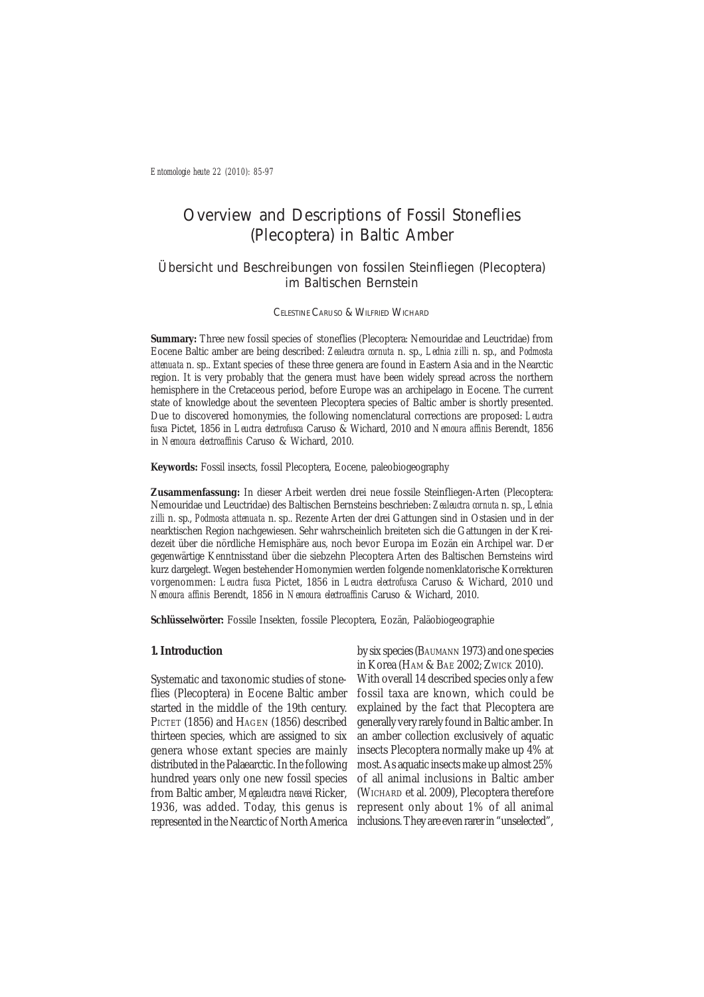# Overview and Descriptions of Fossil Stoneflies (Plecoptera) in Baltic Amber

# Übersicht und Beschreibungen von fossilen Steinfliegen (Plecoptera) im Baltischen Bernstein

CELESTINE CARUSO & WILFRIED WICHARD

**Summary:** Three new fossil species of stoneflies (Plecoptera: Nemouridae and Leuctridae) from Eocene Baltic amber are being described: *Zealeuctra cornuta* n. sp., *Lednia zilli* n. sp., and *Podmosta attenuata* n. sp.. Extant species of these three genera are found in Eastern Asia and in the Nearctic region. It is very probably that the genera must have been widely spread across the northern hemisphere in the Cretaceous period, before Europe was an archipelago in Eocene. The current state of knowledge about the seventeen Plecoptera species of Baltic amber is shortly presented. Due to discovered homonymies, the following nomenclatural corrections are proposed: *Leuctra fusca* Pictet, 1856 in *Leuctra electrofusca* Caruso & Wichard, 2010 and *Nemoura affinis* Berendt, 1856 in *Nemoura electroaffinis* Caruso & Wichard, 2010.

**Keywords:** Fossil insects, fossil Plecoptera, Eocene, paleobiogeography

**Zusammenfassung:** In dieser Arbeit werden drei neue fossile Steinfliegen-Arten (Plecoptera: Nemouridae und Leuctridae) des Baltischen Bernsteins beschrieben: *Zealeuctra cornuta* n. sp., *Lednia zilli* n. sp., *Podmosta attenuata* n. sp.. Rezente Arten der drei Gattungen sind in Ostasien und in der nearktischen Region nachgewiesen. Sehr wahrscheinlich breiteten sich die Gattungen in der Kreidezeit über die nördliche Hemisphäre aus, noch bevor Europa im Eozän ein Archipel war. Der gegenwärtige Kenntnisstand über die siebzehn Plecoptera Arten des Baltischen Bernsteins wird kurz dargelegt. Wegen bestehender Homonymien werden folgende nomenklatorische Korrekturen vorgenommen: *Leuctra fusca* Pictet, 1856 in *Leuctra electrofusca* Caruso & Wichard, 2010 und *Nemoura affinis* Berendt, 1856 in *Nemoura electroaffinis* Caruso & Wichard, 2010.

**Schlüsselwörter:** Fossile Insekten, fossile Plecoptera, Eozän, Paläobiogeographie

#### **1. Introduction**

Systematic and taxonomic studies of stoneflies (Plecoptera) in Eocene Baltic amber started in the middle of the 19th century. PICTET (1856) and HAGEN (1856) described thirteen species, which are assigned to six genera whose extant species are mainly distributed in the Palaearctic. In the following hundred years only one new fossil species from Baltic amber, *Megaleuctra neavei* Ricker, 1936, was added. Today, this genus is represented in the Nearctic of North America

by six species (BAUMANN 1973) and one species in Korea (HAM & BAE 2002; ZWICK 2010). With overall 14 described species only a few fossil taxa are known, which could be explained by the fact that Plecoptera are generally very rarely found in Baltic amber. In an amber collection exclusively of aquatic insects Plecoptera normally make up 4% at most. As aquatic insects make up almost 25% of all animal inclusions in Baltic amber (WICHARD et al. 2009), Plecoptera therefore represent only about 1% of all animal inclusions. They are even rarer in "unselected",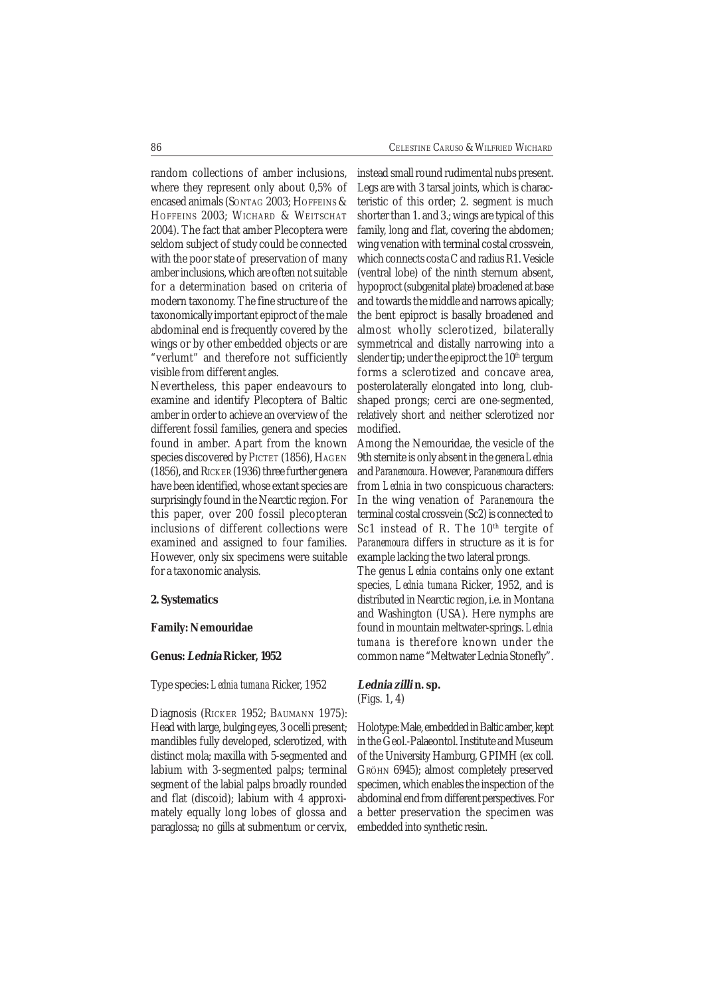random collections of amber inclusions, where they represent only about 0,5% of encased animals (SONTAG 2003; HOFFEINS & HOFFEINS 2003; WICHARD & WEITSCHAT 2004). The fact that amber Plecoptera were seldom subject of study could be connected with the poor state of preservation of many amber inclusions, which are often not suitable for a determination based on criteria of modern taxonomy. The fine structure of the taxonomically important epiproct of the male abdominal end is frequently covered by the wings or by other embedded objects or are "verlumt" and therefore not sufficiently visible from different angles.

Nevertheless, this paper endeavours to examine and identify Plecoptera of Baltic amber in order to achieve an overview of the different fossil families, genera and species found in amber. Apart from the known species discovered by PICTET (1856), HAGEN (1856), and RICKER (1936) three further genera have been identified, whose extant species are surprisingly found in the Nearctic region. For this paper, over 200 fossil plecopteran inclusions of different collections were examined and assigned to four families. However, only six specimens were suitable for a taxonomic analysis.

# **2. Systematics**

#### **Family: Nemouridae**

#### **Genus: Lednia Ricker, 1952**

#### Type species: *Lednia tumana* Ricker, 1952

Diagnosis (RICKER 1952; BAUMANN 1975): Head with large, bulging eyes, 3 ocelli present; mandibles fully developed, sclerotized, with distinct mola; maxilla with 5-segmented and labium with 3-segmented palps; terminal segment of the labial palps broadly rounded and flat (discoid); labium with 4 approximately equally long lobes of glossa and paraglossa; no gills at submentum or cervix,

instead small round rudimental nubs present. Legs are with 3 tarsal joints, which is characteristic of this order; 2. segment is much shorter than 1. and 3.; wings are typical of this family, long and flat, covering the abdomen; wing venation with terminal costal crossvein, which connects costa C and radius R1. Vesicle (ventral lobe) of the ninth sternum absent, hypoproct (subgenital plate) broadened at base and towards the middle and narrows apically; the bent epiproct is basally broadened and almost wholly sclerotized, bilaterally symmetrical and distally narrowing into a slender tip; under the epiproct the  $10<sup>th</sup>$  tergum forms a sclerotized and concave area, posterolaterally elongated into long, clubshaped prongs; cerci are one-segmented, relatively short and neither sclerotized nor modified.

Among the Nemouridae, the vesicle of the 9th sternite is only absent in the genera *Lednia* and *Paranemoura*. However, *Paranemoura* differs from *Lednia* in two conspicuous characters: In the wing venation of *Paranemoura* the terminal costal crossvein (Sc2) is connected to Sc1 instead of R. The 10<sup>th</sup> tergite of *Paranemoura* differs in structure as it is for example lacking the two lateral prongs.

The genus *Lednia* contains only one extant species, *Lednia tumana* Ricker, 1952, and is distributed in Nearctic region, i.e. in Montana and Washington (USA). Here nymphs are found in mountain meltwater-springs. *Lednia tumana* is therefore known under the common name "Meltwater Lednia Stonefly".

# **Lednia zilli n. sp.**

(Figs. 1, 4)

Holotype: Male, embedded in Baltic amber, kept in the Geol.-Palaeontol. Institute and Museum of the University Hamburg, GPIMH (ex coll. GRÖHN 6945); almost completely preserved specimen, which enables the inspection of the abdominal end from different perspectives. For a better preservation the specimen was embedded into synthetic resin.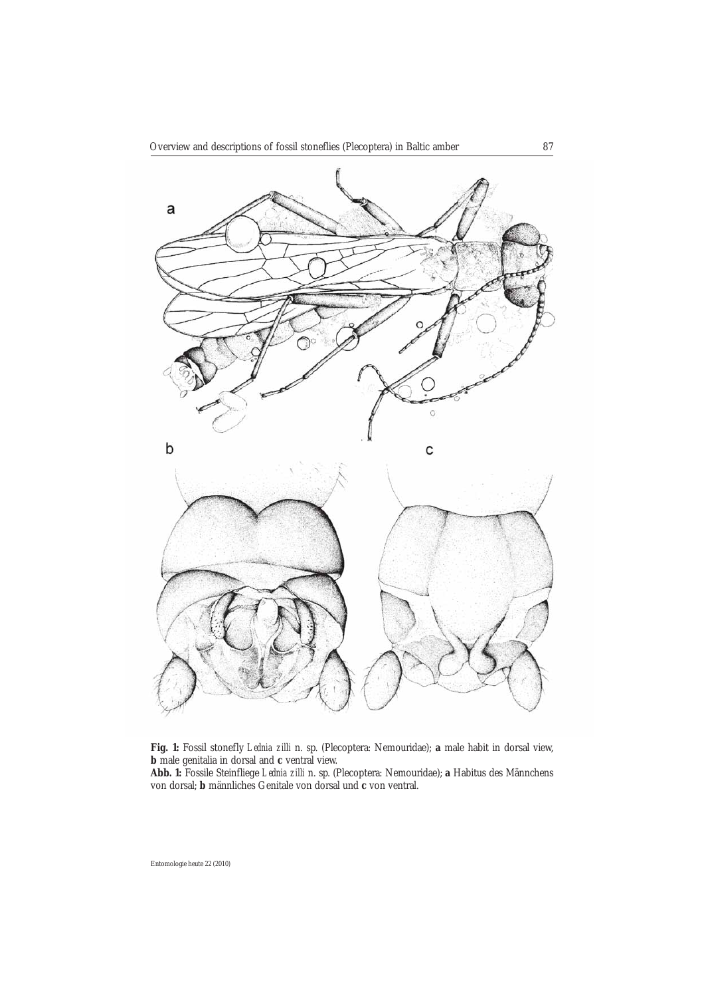

**Fig. 1:** Fossil stonefly *Lednia zilli* n. sp. (Plecoptera: Nemouridae); **a** male habit in dorsal view, **b** male genitalia in dorsal and **c** ventral view.

**Abb. 1:** Fossile Steinfliege *Lednia zilli* n. sp. (Plecoptera: Nemouridae); **a** Habitus des Männchens von dorsal; **b** männliches Genitale von dorsal und **c** von ventral.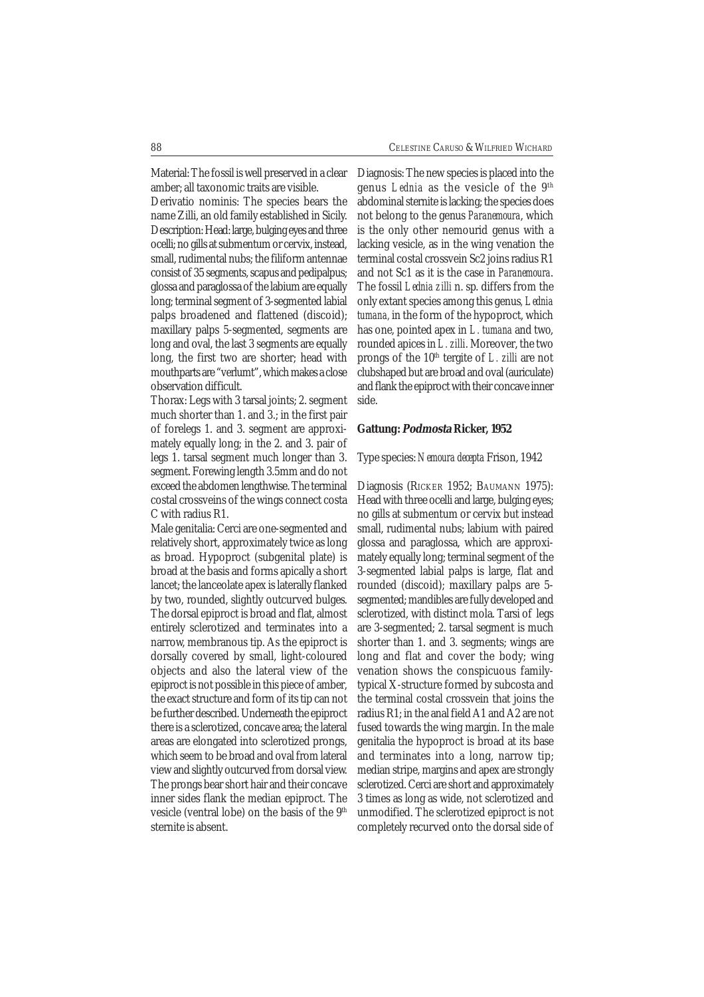Material: The fossil is well preserved in a clear amber; all taxonomic traits are visible.

Derivatio nominis: The species bears the name Zilli, an old family established in Sicily. Description: Head: large, bulging eyes and three ocelli; no gills at submentum or cervix, instead, small, rudimental nubs; the filiform antennae consist of 35 segments, scapus and pedipalpus; glossa and paraglossa of the labium are equally long; terminal segment of 3-segmented labial palps broadened and flattened (discoid); maxillary palps 5-segmented, segments are long and oval, the last 3 segments are equally long, the first two are shorter; head with mouthparts are "verlumt", which makes a close observation difficult.

Thorax: Legs with 3 tarsal joints; 2. segment much shorter than 1. and 3.; in the first pair of forelegs 1. and 3. segment are approximately equally long; in the 2. and 3. pair of legs 1. tarsal segment much longer than 3. segment. Forewing length 3.5mm and do not exceed the abdomen lengthwise. The terminal costal crossveins of the wings connect costa C with radius R1.

Male genitalia: Cerci are one-segmented and relatively short, approximately twice as long as broad. Hypoproct (subgenital plate) is broad at the basis and forms apically a short lancet; the lanceolate apex is laterally flanked by two, rounded, slightly outcurved bulges. The dorsal epiproct is broad and flat, almost entirely sclerotized and terminates into a narrow, membranous tip. As the epiproct is dorsally covered by small, light-coloured objects and also the lateral view of the epiproct is not possible in this piece of amber, the exact structure and form of its tip can not be further described. Underneath the epiproct there is a sclerotized, concave area; the lateral areas are elongated into sclerotized prongs, which seem to be broad and oval from lateral view and slightly outcurved from dorsal view. The prongs bear short hair and their concave inner sides flank the median epiproct. The vesicle (ventral lobe) on the basis of the 9<sup>th</sup> sternite is absent.

Diagnosis: The new species is placed into the genus *Lednia* as the vesicle of the 9th abdominal sternite is lacking; the species does not belong to the genus *Paranemoura*, which is the only other nemourid genus with a lacking vesicle, as in the wing venation the terminal costal crossvein Sc2 joins radius R1 and not Sc1 as it is the case in *Paranemoura*. The fossil *Lednia zilli* n. sp. differs from the only extant species among this genus*, Lednia tumana,* in the form of the hypoproct, which has one, pointed apex in *L. tumana* and two, rounded apices in *L. zilli*. Moreover, the two prongs of the 10<sup>th</sup> tergite of *L. zilli* are not clubshaped but are broad and oval (auriculate) and flank the epiproct with their concave inner side.

# **Gattung: Podmosta Ricker, 1952**

#### Type species: *Nemoura decepta* Frison, 1942

Diagnosis (RICKER 1952; BAUMANN 1975): Head with three ocelli and large, bulging eyes; no gills at submentum or cervix but instead small, rudimental nubs; labium with paired glossa and paraglossa, which are approximately equally long; terminal segment of the 3-segmented labial palps is large, flat and rounded (discoid); maxillary palps are 5 segmented; mandibles are fully developed and sclerotized, with distinct mola. Tarsi of legs are 3-segmented; 2. tarsal segment is much shorter than 1. and 3. segments; wings are long and flat and cover the body; wing venation shows the conspicuous familytypical X-structure formed by subcosta and the terminal costal crossvein that joins the radius R1; in the anal field A1 and A2 are not fused towards the wing margin. In the male genitalia the hypoproct is broad at its base and terminates into a long, narrow tip; median stripe, margins and apex are strongly sclerotized. Cerci are short and approximately 3 times as long as wide, not sclerotized and unmodified. The sclerotized epiproct is not completely recurved onto the dorsal side of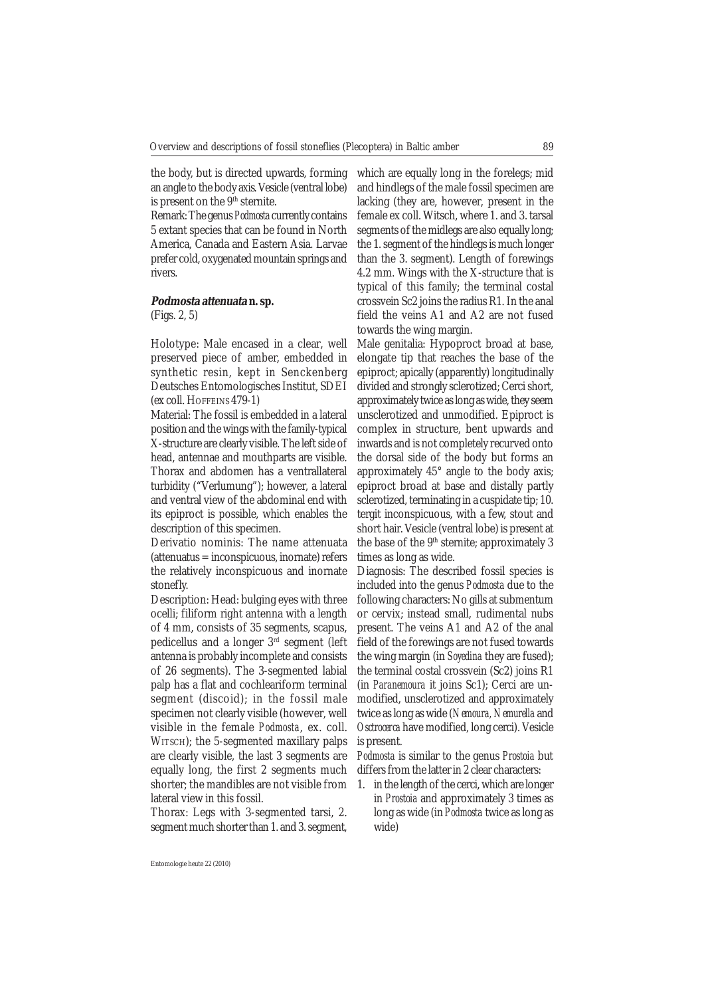the body, but is directed upwards, forming an angle to the body axis. Vesicle (ventral lobe) is present on the 9<sup>th</sup> sternite.

Remark: The genus *Podmosta* currently contains 5 extant species that can be found in North America, Canada and Eastern Asia. Larvae prefer cold, oxygenated mountain springs and rivers.

#### **Podmosta attenuata n. sp.**

(Figs. 2, 5)

Holotype: Male encased in a clear, well preserved piece of amber, embedded in synthetic resin, kept in Senckenberg Deutsches Entomologisches Institut, SDEI (ex coll. HOFFEINS 479-1)

Material: The fossil is embedded in a lateral position and the wings with the family-typical X-structure are clearly visible. The left side of head, antennae and mouthparts are visible. Thorax and abdomen has a ventrallateral turbidity ("Verlumung"); however, a lateral and ventral view of the abdominal end with its epiproct is possible, which enables the description of this specimen.

Derivatio nominis: The name attenuata (attenuatus = inconspicuous, inornate) refers the relatively inconspicuous and inornate stonefly.

Description: Head: bulging eyes with three ocelli; filiform right antenna with a length of 4 mm, consists of 35 segments, scapus, pedicellus and a longer 3rd segment (left antenna is probably incomplete and consists of 26 segments). The 3-segmented labial palp has a flat and cochleariform terminal segment (discoid); in the fossil male specimen not clearly visible (however, well visible in the female *Podmosta*, ex. coll. WITSCH); the 5-segmented maxillary palps are clearly visible, the last 3 segments are equally long, the first 2 segments much shorter; the mandibles are not visible from lateral view in this fossil.

Thorax: Legs with 3-segmented tarsi, 2. segment much shorter than 1. and 3. segment,

which are equally long in the forelegs; mid and hindlegs of the male fossil specimen are lacking (they are, however, present in the female ex coll. Witsch, where 1. and 3. tarsal segments of the midlegs are also equally long; the 1. segment of the hindlegs is much longer than the 3. segment). Length of forewings 4.2 mm. Wings with the X-structure that is typical of this family; the terminal costal crossvein Sc2 joins the radius R1. In the anal field the veins A1 and A2 are not fused towards the wing margin.

Male genitalia: Hypoproct broad at base, elongate tip that reaches the base of the epiproct; apically (apparently) longitudinally divided and strongly sclerotized; Cerci short, approximately twice as long as wide, they seem unsclerotized and unmodified. Epiproct is complex in structure, bent upwards and inwards and is not completely recurved onto the dorsal side of the body but forms an approximately 45° angle to the body axis; epiproct broad at base and distally partly sclerotized, terminating in a cuspidate tip; 10. tergit inconspicuous, with a few, stout and short hair. Vesicle (ventral lobe) is present at the base of the  $9<sup>th</sup>$  sternite; approximately 3 times as long as wide.

Diagnosis: The described fossil species is included into the genus *Podmosta* due to the following characters: No gills at submentum or cervix; instead small, rudimental nubs present. The veins A1 and A2 of the anal field of the forewings are not fused towards the wing margin (in *Soyedina* they are fused); the terminal costal crossvein (Sc2) joins R1 (in *Paranemoura* it joins Sc1); Cerci are unmodified, unsclerotized and approximately twice as long as wide (*Nemoura, Nemurella* and *Osctrocerca* have modified, long cerci). Vesicle is present.

*Podmosta* is similar to the genus *Prostoia* but differs from the latter in 2 clear characters:

1. in the length of the cerci, which are longer in *Prostoia* and approximately 3 times as long as wide (in *Podmosta* twice as long as wide)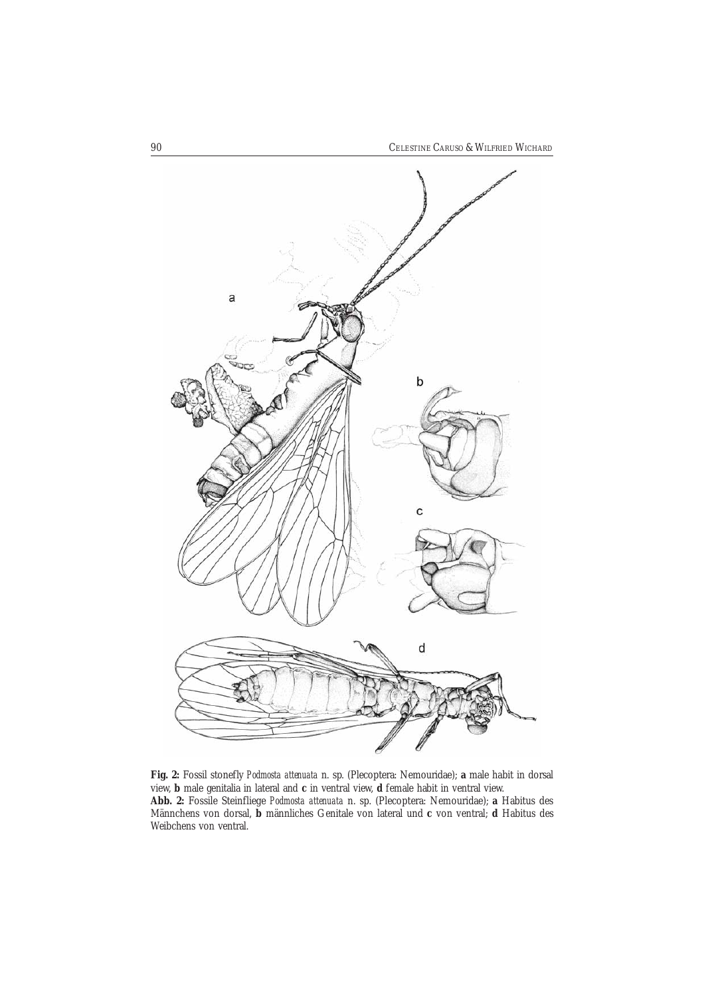

**Fig. 2:** Fossil stonefly *Podmosta attenuata* n. sp. (Plecoptera: Nemouridae); **a** male habit in dorsal view, **b** male genitalia in lateral and **c** in ventral view, **d** female habit in ventral view. **Abb. 2:** Fossile Steinfliege *Podmosta attenuata* n. sp. (Plecoptera: Nemouridae); **a** Habitus des Männchens von dorsal, **b** männliches Genitale von lateral und **c** von ventral; **d** Habitus des Weibchens von ventral.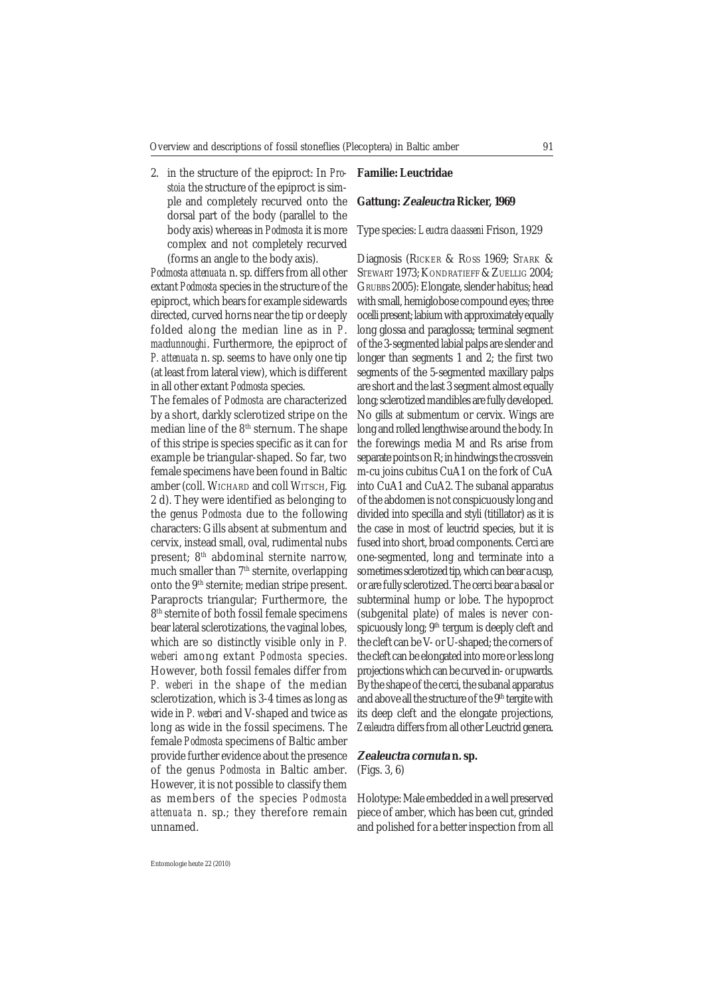2. in the structure of the epiproct: In *Prostoia* the structure of the epiproct is simple and completely recurved onto the dorsal part of the body (parallel to the body axis) whereas in *Podmosta* it is more complex and not completely recurved (forms an angle to the body axis).

*Podmosta attenuata* n. sp. differs from all other extant *Podmosta* species in the structure of the epiproct, which bears for example sidewards directed, curved horns near the tip or deeply folded along the median line as in *P*. *macdunnoughi*. Furthermore, the epiproct of *P. attenuata* n. sp. seems to have only one tip (at least from lateral view), which is different in all other extant *Podmosta* species.

The females of *Podmosta* are characterized by a short, darkly sclerotized stripe on the median line of the 8<sup>th</sup> sternum. The shape of this stripe is species specific as it can for example be triangular-shaped. So far, two female specimens have been found in Baltic amber (coll. WICHARD and coll WITSCH, Fig. 2 d). They were identified as belonging to the genus *Podmosta* due to the following characters: Gills absent at submentum and cervix, instead small, oval, rudimental nubs present; 8th abdominal sternite narrow, much smaller than 7<sup>th</sup> sternite, overlapping onto the 9th sternite; median stripe present. Paraprocts triangular; Furthermore, the 8<sup>th</sup> sternite of both fossil female specimens bear lateral sclerotizations, the vaginal lobes, which are so distinctly visible only in *P. weberi* among extant *Podmosta* species. However, both fossil females differ from *P. weberi* in the shape of the median sclerotization, which is 3-4 times as long as wide in *P. weberi* and V-shaped and twice as long as wide in the fossil specimens. The female *Podmosta* specimens of Baltic amber provide further evidence about the presence of the genus *Podmosta* in Baltic amber. However, it is not possible to classify them as members of the species *Podmosta attenuata* n. sp.; they therefore remain unnamed.

#### **Familie: Leuctridae**

### **Gattung: Zealeuctra Ricker, 1969**

#### Type species: *Leuctra claasseni* Frison, 1929

Diagnosis (RICKER & ROSS 1969; STARK & STEWART 1973; KONDRATIEFF & ZUELLIG 2004; GRUBBS 2005): Elongate, slender habitus; head with small, hemiglobose compound eyes; three ocelli present; labium with approximately equally long glossa and paraglossa; terminal segment of the 3-segmented labial palps are slender and longer than segments 1 and 2; the first two segments of the 5-segmented maxillary palps are short and the last 3 segment almost equally long; sclerotized mandibles are fully developed. No gills at submentum or cervix. Wings are long and rolled lengthwise around the body. In the forewings media M and Rs arise from separate points on R; in hindwings the crossvein m-cu joins cubitus CuA1 on the fork of CuA into CuA1 and CuA2. The subanal apparatus of the abdomen is not conspicuously long and divided into specilla and styli (titillator) as it is the case in most of leuctrid species, but it is fused into short, broad components. Cerci are one-segmented, long and terminate into a sometimes sclerotized tip, which can bear a cusp, or are fully sclerotized. The cerci bear a basal or subterminal hump or lobe. The hypoproct (subgenital plate) of males is never conspicuously long;  $9<sup>th</sup>$  tergum is deeply cleft and the cleft can be V- or U-shaped; the corners of the cleft can be elongated into more or less long projections which can be curved in- or upwards. By the shape of the cerci, the subanal apparatus and above all the structure of the  $9<sup>th</sup>$  tergite with its deep cleft and the elongate projections, *Zealeuctra* differs from all other Leuctrid genera.

#### **Zealeuctra cornuta n. sp.** (Figs. 3, 6)

Holotype: Male embedded in a well preserved piece of amber, which has been cut, grinded and polished for a better inspection from all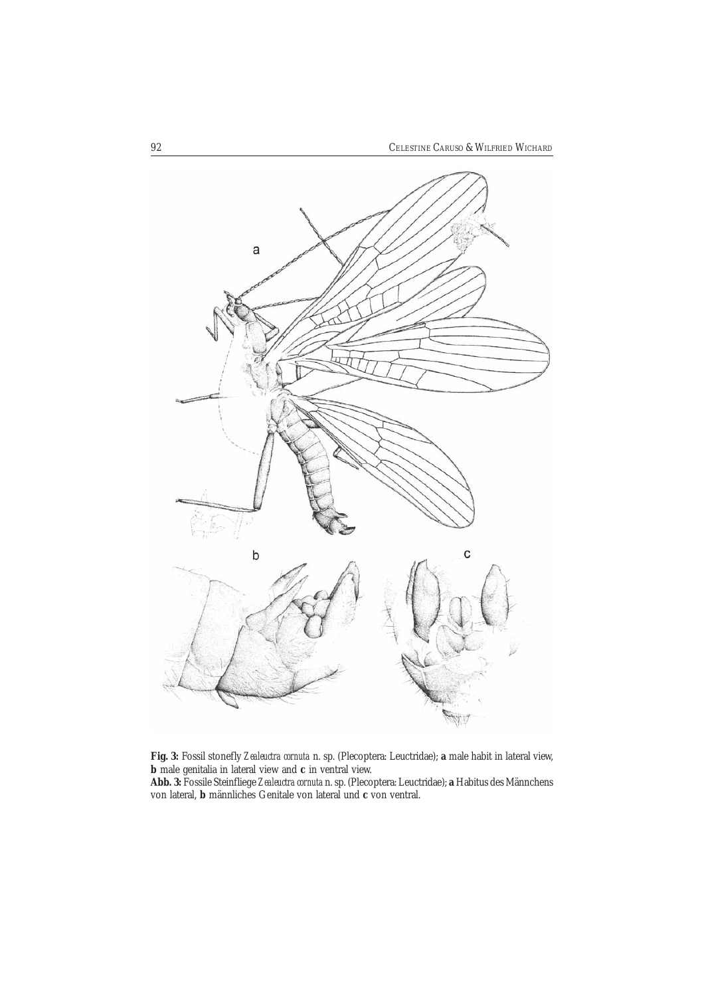

**Fig. 3:** Fossil stonefly *Zealeuctra cornuta* n. sp. (Plecoptera: Leuctridae); **a** male habit in lateral view, **b** male genitalia in lateral view and **c** in ventral view.

**Abb. 3:** Fossile Steinfliege *Zealeuctra cornuta* n. sp. (Plecoptera: Leuctridae); **a** Habitus des Männchens von lateral, **b** männliches Genitale von lateral und **c** von ventral.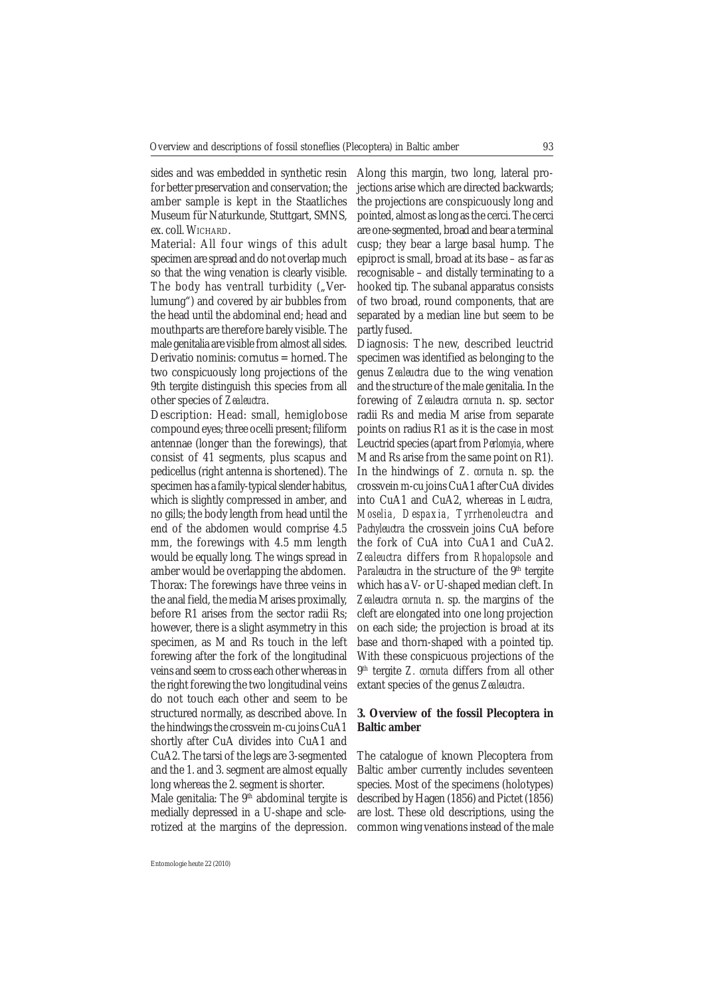sides and was embedded in synthetic resin for better preservation and conservation; the amber sample is kept in the Staatliches Museum für Naturkunde, Stuttgart, SMNS, ex. coll. WICHARD.

Material: All four wings of this adult specimen are spread and do not overlap much so that the wing venation is clearly visible. The body has ventrall turbidity ("Verlumung") and covered by air bubbles from the head until the abdominal end; head and mouthparts are therefore barely visible. The male genitalia are visible from almost all sides. Derivatio nominis: cornutus = horned. The two conspicuously long projections of the 9th tergite distinguish this species from all other species of *Zealeuctra*.

Description: Head: small, hemiglobose compound eyes; three ocelli present; filiform antennae (longer than the forewings), that consist of 41 segments, plus scapus and pedicellus (right antenna is shortened). The specimen has a family-typical slender habitus, which is slightly compressed in amber, and no gills; the body length from head until the end of the abdomen would comprise 4.5 mm, the forewings with 4.5 mm length would be equally long. The wings spread in amber would be overlapping the abdomen. Thorax: The forewings have three veins in the anal field, the media M arises proximally, before R1 arises from the sector radii Rs; however, there is a slight asymmetry in this specimen, as M and Rs touch in the left forewing after the fork of the longitudinal veins and seem to cross each other whereas in the right forewing the two longitudinal veins do not touch each other and seem to be structured normally, as described above. In the hindwings the crossvein m-cu joins CuA1 shortly after CuA divides into CuA1 and CuA2. The tarsi of the legs are 3-segmented and the 1. and 3. segment are almost equally long whereas the 2. segment is shorter.

Male genitalia: The  $9<sup>th</sup>$  abdominal tergite is medially depressed in a U-shape and sclerotized at the margins of the depression.

Along this margin, two long, lateral projections arise which are directed backwards; the projections are conspicuously long and pointed, almost as long as the cerci. The cerci are one-segmented, broad and bear a terminal cusp; they bear a large basal hump. The epiproct is small, broad at its base – as far as recognisable – and distally terminating to a hooked tip. The subanal apparatus consists of two broad, round components, that are separated by a median line but seem to be partly fused.

Diagnosis: The new, described leuctrid specimen was identified as belonging to the genus *Zealeuctra* due to the wing venation and the structure of the male genitalia. In the forewing of *Zealeuctra cornuta* n. sp. sector radii Rs and media M arise from separate points on radius R1 as it is the case in most Leuctrid species (apart from *Perlomyia*, where M and Rs arise from the same point on R1). In the hindwings of *Z. cornuta* n. sp. the crossvein m-cu joins CuA1 after CuA divides into CuA1 and CuA2, whereas in *Leuctra, Moselia, Despaxia, Tyrrhenoleuctra* and *Pachyleuctra* the crossvein joins CuA before the fork of CuA into CuA1 and CuA2. *Zealeuctra* differs from *Rhopalopsole* and Paraleuctra in the structure of the 9<sup>th</sup> tergite which has a V- or U-shaped median cleft. In *Zealeuctra cornuta* n. sp. the margins of the cleft are elongated into one long projection on each side; the projection is broad at its base and thorn-shaped with a pointed tip. With these conspicuous projections of the 9th tergite *Z. cornuta* differs from all other extant species of the genus *Zealeuctra*.

# **3. Overview of the fossil Plecoptera in Baltic amber**

The catalogue of known Plecoptera from Baltic amber currently includes seventeen species. Most of the specimens (holotypes) described by Hagen (1856) and Pictet (1856) are lost. These old descriptions, using the common wing venations instead of the male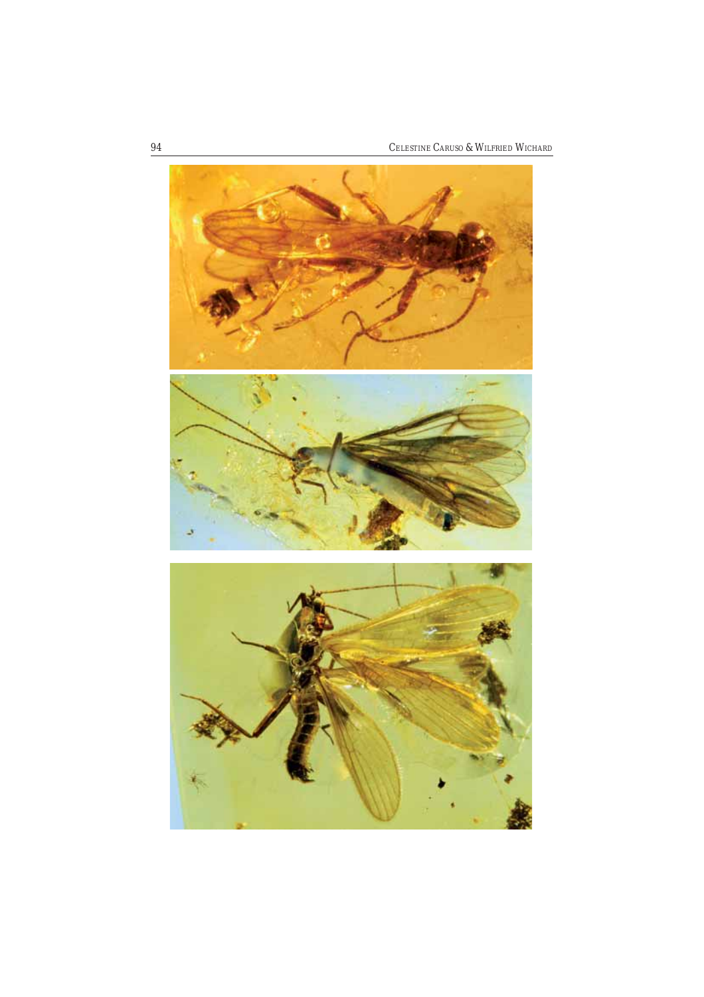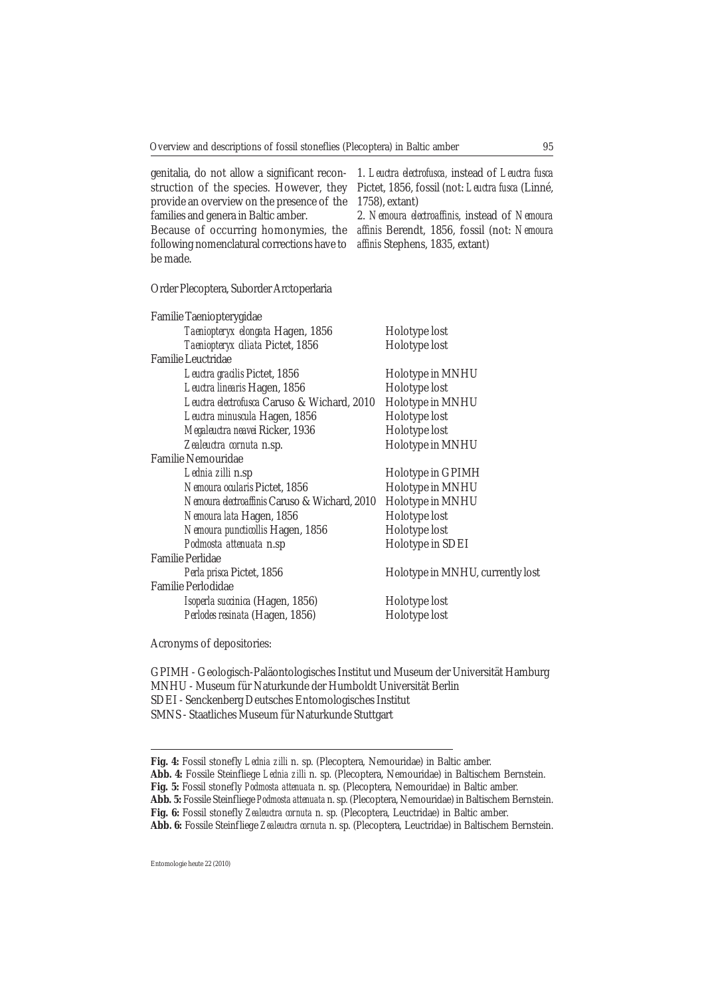| genitalia, do not allow a significant recon-<br>struction of the species. However, they<br>provide an overview on the presence of the<br>families and genera in Baltic amber.<br>Because of occurring homonymies, the<br>following nomenclatural corrections have to<br>be made. | 1. Leuctra electrofusca, instead of Leuctra fusca<br>Pictet, 1856, fossil (not: Leuctra fusca (Linné,<br>1758), extant)<br>2. Nemoura electroaffinis, instead of Nemoura<br>affinis Berendt, 1856, fossil (not: Nemoura<br><i>affinis</i> Stephens, 1835, extant) |
|----------------------------------------------------------------------------------------------------------------------------------------------------------------------------------------------------------------------------------------------------------------------------------|-------------------------------------------------------------------------------------------------------------------------------------------------------------------------------------------------------------------------------------------------------------------|
| Order Plecoptera, Suborder Arctoperlaria                                                                                                                                                                                                                                         |                                                                                                                                                                                                                                                                   |
| Familie Taeniopterygidae                                                                                                                                                                                                                                                         |                                                                                                                                                                                                                                                                   |
| Taeniopteryx elongata Hagen, 1856                                                                                                                                                                                                                                                | Holotype lost                                                                                                                                                                                                                                                     |
| Taeniopteryx ciliata Pictet, 1856                                                                                                                                                                                                                                                | Holotype lost                                                                                                                                                                                                                                                     |
| <b>Familie Leuctridae</b>                                                                                                                                                                                                                                                        |                                                                                                                                                                                                                                                                   |
| Leuctra gracilis Pictet, 1856                                                                                                                                                                                                                                                    | Holotype in MNHU                                                                                                                                                                                                                                                  |
| Leuctra linearis Hagen, 1856                                                                                                                                                                                                                                                     | Holotype lost                                                                                                                                                                                                                                                     |
| Leuctra electrofusca Caruso & Wichard, 2010                                                                                                                                                                                                                                      | Holotype in MNHU                                                                                                                                                                                                                                                  |
| Leuctra minuscula Hagen, 1856                                                                                                                                                                                                                                                    | Holotype lost                                                                                                                                                                                                                                                     |
| Megaleuctra neavei Ricker, 1936                                                                                                                                                                                                                                                  | Holotype lost                                                                                                                                                                                                                                                     |
| Zealeuctra cornuta n.sp.                                                                                                                                                                                                                                                         | Holotype in MNHU                                                                                                                                                                                                                                                  |
| <b>Familie Nemouridae</b>                                                                                                                                                                                                                                                        |                                                                                                                                                                                                                                                                   |
| Lednia zilli n.sp                                                                                                                                                                                                                                                                | Holotype in GPIMH                                                                                                                                                                                                                                                 |
| Nemoura ocularis Pictet, 1856                                                                                                                                                                                                                                                    | Holotype in MNHU                                                                                                                                                                                                                                                  |
| Nemoura electroaffinis Caruso & Wichard, 2010                                                                                                                                                                                                                                    | Holotype in MNHU                                                                                                                                                                                                                                                  |
| Nemoura lata Hagen, 1856                                                                                                                                                                                                                                                         | Holotype lost                                                                                                                                                                                                                                                     |
| Nemoura puncticollis Hagen, 1856                                                                                                                                                                                                                                                 | Holotype lost                                                                                                                                                                                                                                                     |
| Podmosta attenuata n.sp                                                                                                                                                                                                                                                          | Holotype in SDEI                                                                                                                                                                                                                                                  |
| <b>Familie Perlidae</b>                                                                                                                                                                                                                                                          |                                                                                                                                                                                                                                                                   |
| Perla prisca Pictet, 1856                                                                                                                                                                                                                                                        | Holotype in MNHU, currently lost                                                                                                                                                                                                                                  |
| <b>Familie Perlodidae</b>                                                                                                                                                                                                                                                        |                                                                                                                                                                                                                                                                   |
| Isoperla succinica (Hagen, 1856)                                                                                                                                                                                                                                                 | Holotype lost                                                                                                                                                                                                                                                     |
| Perlodes resinata (Hagen, 1856)                                                                                                                                                                                                                                                  | Holotype lost                                                                                                                                                                                                                                                     |
|                                                                                                                                                                                                                                                                                  |                                                                                                                                                                                                                                                                   |

Acronyms of depositories:

GPIMH - Geologisch-Paläontologisches Institut und Museum der Universität Hamburg MNHU - Museum für Naturkunde der Humboldt Universität Berlin SDEI - Senckenberg Deutsches Entomologisches Institut SMNS - Staatliches Museum für Naturkunde Stuttgart

**Fig. 4:** Fossil stonefly *Lednia zilli* n. sp. (Plecoptera, Nemouridae) in Baltic amber.

**Abb. 4:** Fossile Steinfliege *Lednia zilli* n. sp. (Plecoptera, Nemouridae) in Baltischem Bernstein.

**Fig. 5:** Fossil stonefly *Podmosta attenuata* n. sp. (Plecoptera, Nemouridae) in Baltic amber.

**Abb. 5:** Fossile Steinfliege *Podmosta attenuata* n. sp. (Plecoptera, Nemouridae) in Baltischem Bernstein. **Fig. 6:** Fossil stonefly *Zealeuctra cornuta* n. sp. (Plecoptera, Leuctridae) in Baltic amber.

**Abb. 6:** Fossile Steinfliege *Zealeuctra cornuta* n. sp. (Plecoptera, Leuctridae) in Baltischem Bernstein.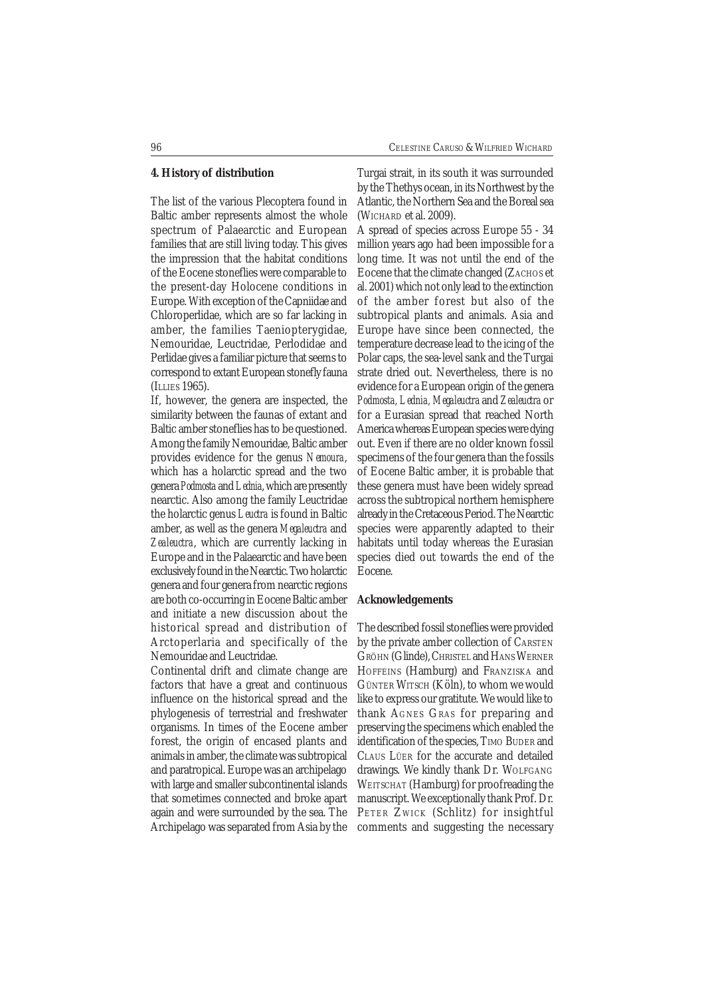# **4. History of distribution**

The list of the various Plecoptera found in Baltic amber represents almost the whole spectrum of Palaearctic and European families that are still living today. This gives the impression that the habitat conditions of the Eocene stoneflies were comparable to the present-day Holocene conditions in Europe. With exception of the Capniidae and Chloroperlidae, which are so far lacking in amber, the families Taeniopterygidae, Nemouridae, Leuctridae, Perlodidae and Perlidae gives a familiar picture that seems to correspond to extant European stonefly fauna (ILLIES 1965).

If, however, the genera are inspected, the similarity between the faunas of extant and Baltic amber stoneflies has to be questioned. Among the family Nemouridae, Baltic amber provides evidence for the genus *Nemoura*, which has a holarctic spread and the two genera *Podmosta* and *Lednia*, which are presently nearctic. Also among the family Leuctridae the holarctic genus *Leuctra* is found in Baltic amber, as well as the genera *Megaleuctra* and *Zealeuctra*, which are currently lacking in Europe and in the Palaearctic and have been exclusively found in the Nearctic. Two holarctic genera and four genera from nearctic regions are both co-occurring in Eocene Baltic amber and initiate a new discussion about the historical spread and distribution of Arctoperlaria and specifically of the Nemouridae and Leuctridae.

Continental drift and climate change are factors that have a great and continuous influence on the historical spread and the phylogenesis of terrestrial and freshwater organisms. In times of the Eocene amber forest, the origin of encased plants and animals in amber, the climate was subtropical and paratropical. Europe was an archipelago with large and smaller subcontinental islands that sometimes connected and broke apart again and were surrounded by the sea. The Archipelago was separated from Asia by the

Turgai strait, in its south it was surrounded by the Thethys ocean, in its Northwest by the Atlantic, the Northern Sea and the Boreal sea (WICHARD et al. 2009).

A spread of species across Europe 55 - 34 million years ago had been impossible for a long time. It was not until the end of the Eocene that the climate changed (ZACHOS et al. 2001) which not only lead to the extinction of the amber forest but also of the subtropical plants and animals. Asia and Europe have since been connected, the temperature decrease lead to the icing of the Polar caps, the sea-level sank and the Turgai strate dried out. Nevertheless, there is no evidence for a European origin of the genera *Podmosta, Lednia, Megaleuctra* and *Zealeuctra* or for a Eurasian spread that reached North America whereas European species were dying out. Even if there are no older known fossil specimens of the four genera than the fossils of Eocene Baltic amber, it is probable that these genera must have been widely spread across the subtropical northern hemisphere already in the Cretaceous Period. The Nearctic species were apparently adapted to their habitats until today whereas the Eurasian species died out towards the end of the Eocene.

#### **Acknowledgements**

The described fossil stoneflies were provided by the private amber collection of CARSTEN GRÖHN (Glinde), CHRISTEL and HANS WERNER HOFFEINS (Hamburg) and FRANZISKA and GÜNTER WITSCH (Köln), to whom we would like to express our gratitute. We would like to thank AGNES GRAS for preparing and preserving the specimens which enabled the identification of the species, TIMO BUDER and CLAUS LÜER for the accurate and detailed drawings. We kindly thank Dr. WOLFGANG WEITSCHAT (Hamburg) for proofreading the manuscript. We exceptionally thank Prof. Dr. PETER ZWICK (Schlitz) for insightful comments and suggesting the necessary